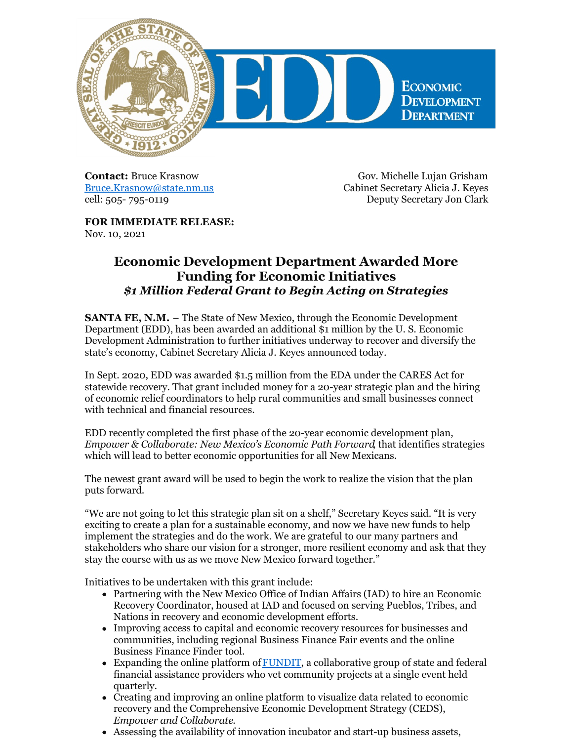

**Contact:** Bruce Krasnow [Bruce.Krasnow@state.nm.us](mailto:Bruce.Krasnow@state.nm.us) cell: 505- 795-0119

Gov. Michelle Lujan Grisham Cabinet Secretary Alicia J. Keyes Deputy Secretary Jon Clark

**FOR IMMEDIATE RELEASE:** Nov. 10, 2021

## **Economic Development Department Awarded More Funding for Economic Initiatives** *\$1 Million Federal Grant to Begin Acting on Strategies*

**SANTA FE, N.M.** – The State of New Mexico, through the Economic Development Department (EDD), has been awarded an additional \$1 million by the U. S. Economic Development Administration to further initiatives underway to recover and diversify the state's economy, Cabinet Secretary Alicia J. Keyes announced today.

In Sept. 2020, EDD was awarded \$1.5 million from the EDA under the CARES Act for statewide recovery. That grant included money for a 20-year strategic plan and the hiring of economic relief coordinators to help rural communities and small businesses connect with technical and financial resources.

EDD recently completed the first phase of the 20-year economic development plan, *Empower & Collaborate: New Mexico's Economic Path Forward*, that identifies strategies which will lead to better economic opportunities for all New Mexicans.

The newest grant award will be used to begin the work to realize the vision that the plan puts forward.

"We are not going to let this strategic plan sit on a shelf," Secretary Keyes said. "It is very exciting to create a plan for a sustainable economy, and now we have new funds to help implement the strategies and do the work. We are grateful to our many partners and stakeholders who share our vision for a stronger, more resilient economy and ask that they stay the course with us as we move New Mexico forward together."

Initiatives to be undertaken with this grant include:

- Partnering with the New Mexico Office of Indian Affairs (IAD) to hire an Economic Recovery Coordinator, housed at IAD and focused on serving Pueblos, Tribes, and Nations in recovery and economic development efforts.
- Improving access to capital and economic recovery resources for businesses and communities, including regional Business Finance Fair events and the online Business Finance Finder tool.
- Expanding the online platform of **FUNDIT**, a collaborative group of state and federal financial assistance providers who vet community projects at a single event held quarterly.
- Creating and improving an online platform to visualize data related to economic recovery and the Comprehensive Economic Development Strategy (CEDS), *Empower and Collaborate*.
- Assessing the availability of innovation incubator and start-up business assets,